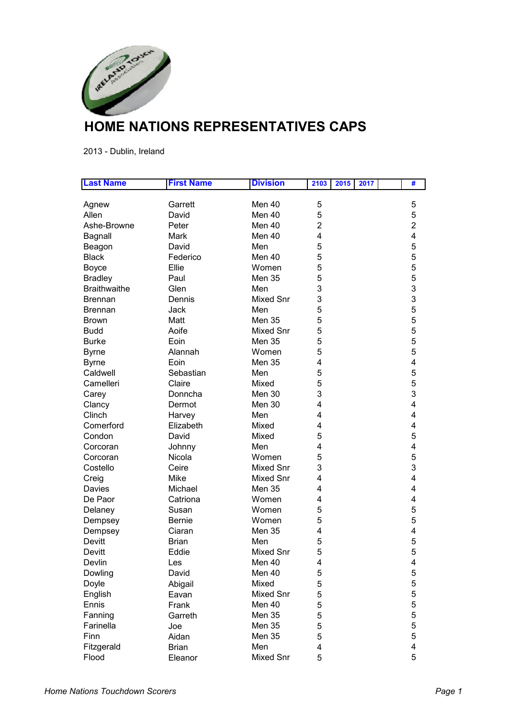

## **HOME NATIONS REPRESENTATIVES CAPS**

2013 - Dublin, Ireland

| <b>Last Name</b>    | <b>First Name</b> | <b>Division</b>  | 2103 | 2015 | 2017 | #              |
|---------------------|-------------------|------------------|------|------|------|----------------|
|                     |                   |                  |      |      |      |                |
| Agnew               | Garrett           | Men $40$         | 5    |      |      | 5              |
| Allen               | David             | Men 40           | 5    |      |      | 5              |
| Ashe-Browne         | Peter             | Men 40           | 2    |      |      | $\overline{2}$ |
| Bagnall             | Mark              | Men 40           | 4    |      |      | 4              |
| Beagon              | David             | Men              | 5    |      |      | 5              |
| <b>Black</b>        | Federico          | Men 40           | 5    |      |      | 5              |
| <b>Boyce</b>        | Ellie             | Women            | 5    |      |      | 5              |
| <b>Bradley</b>      | Paul              | Men 35           | 5    |      |      | 5              |
| <b>Braithwaithe</b> | Glen              | Men              | 3    |      |      | 3              |
| <b>Brennan</b>      | Dennis            | <b>Mixed Snr</b> | 3    |      |      | 3              |
| <b>Brennan</b>      | Jack              | Men              | 5    |      |      | 5              |
| <b>Brown</b>        | Matt              | <b>Men 35</b>    | 5    |      |      | 5              |
| <b>Budd</b>         | Aoife             | <b>Mixed Snr</b> | 5    |      |      | 5              |
| <b>Burke</b>        | Eoin              | Men 35           | 5    |      |      | 5              |
| <b>Byrne</b>        | Alannah           | Women            | 5    |      |      | 5              |
| <b>Byrne</b>        | Eoin              | Men 35           | 4    |      |      | 4              |
| Caldwell            | Sebastian         | Men              | 5    |      |      | 5              |
| Camelleri           | Claire            | Mixed            | 5    |      |      | 5              |
| Carey               | Donncha           | Men 30           | 3    |      |      | 3              |
| Clancy              | Dermot            | Men 30           | 4    |      |      | 4              |
| Clinch              | Harvey            | Men              | 4    |      |      | 4              |
| Comerford           | Elizabeth         | Mixed            | 4    |      |      | 4              |
| Condon              | David             | Mixed            | 5    |      |      | 5              |
| Corcoran            | Johnny            | Men              | 4    |      |      | 4              |
| Corcoran            | Nicola            | Women            | 5    |      |      | 5              |
| Costello            | Ceire             | <b>Mixed Snr</b> | 3    |      |      | 3              |
| Creig               | Mike              | <b>Mixed Snr</b> | 4    |      |      | 4              |
| Davies              | Michael           | <b>Men 35</b>    | 4    |      |      | 4              |
| De Paor             | Catriona          | Women            | 4    |      |      | 4              |
| Delaney             | Susan             | Women            | 5    |      |      | 5              |
| Dempsey             | <b>Bernie</b>     | Women            | 5    |      |      | 5              |
| Dempsey             | Ciaran            | Men 35           | 4    |      |      | 4              |
| Devitt              | <b>Brian</b>      | Men              | 5    |      |      | 5              |
| Devitt              | Eddie             | <b>Mixed Snr</b> | 5    |      |      | 5              |
| Devlin              | Les               | Men 40           | 4    |      |      | 4              |
| Dowling             | David             | Men 40           | 5    |      |      | $\sqrt{5}$     |
| Doyle               | Abigail           | Mixed            | 5    |      |      | 5              |
| English             | Eavan             | Mixed Snr        | 5    |      |      | 5              |
| Ennis               | Frank             | Men 40           | 5    |      |      | 5              |
| Fanning             | Garreth           | <b>Men 35</b>    | 5    |      |      | 5              |
| Farinella           | Joe               | <b>Men 35</b>    | 5    |      |      | 5              |
| Finn                | Aidan             | <b>Men 35</b>    | 5    |      |      | 5              |
| Fitzgerald          | <b>Brian</b>      | Men              | 4    |      |      | 4              |
| Flood               | Eleanor           | Mixed Snr        | 5    |      |      | 5              |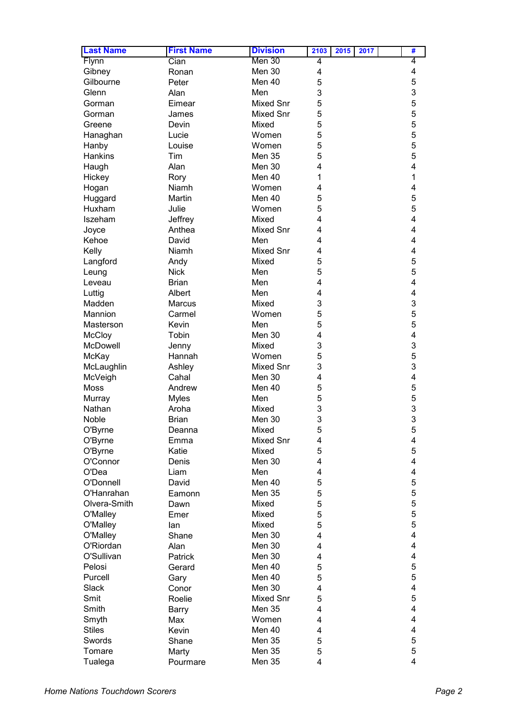| <b>Last Name</b> | <b>First Name</b> | <b>Division</b>  | 2103 | 2015 | 2017 | #      |
|------------------|-------------------|------------------|------|------|------|--------|
| Flynn            | Cian              | Men 30           | 4    |      |      | 4      |
| Gibney           | Ronan             | Men 30           | 4    |      |      | 4      |
| Gilbourne        | Peter             | Men 40           | 5    |      |      | 5      |
| Glenn            | Alan              | Men              | 3    |      |      | 3      |
| Gorman           | Eimear            | <b>Mixed Snr</b> | 5    |      |      | 5      |
| Gorman           | James             | Mixed Snr        | 5    |      |      | 5      |
| Greene           | Devin             | Mixed            | 5    |      |      | 5      |
| Hanaghan         | Lucie             | Women            | 5    |      |      | 5      |
| Hanby            | Louise            | Women            | 5    |      |      | 5      |
| Hankins          | Tim               | <b>Men 35</b>    | 5    |      |      | 5      |
| Haugh            | Alan              | Men 30           | 4    |      |      | 4      |
| Hickey           | Rory              | Men 40           | 1    |      |      | 1      |
| Hogan            | Niamh             | Women            | 4    |      |      | 4      |
| Huggard          | Martin            | Men 40           | 5    |      |      | 5      |
| Huxham           | Julie             | Women            | 5    |      |      | 5      |
| Iszeham          | Jeffrey           | Mixed            | 4    |      |      | 4      |
| Joyce            | Anthea            | <b>Mixed Snr</b> | 4    |      |      | 4      |
| Kehoe            |                   | Men              | 4    |      |      | 4      |
|                  | David             | <b>Mixed Snr</b> |      |      |      | 4      |
| Kelly            | Niamh             |                  | 4    |      |      | 5      |
| Langford         | Andy              | Mixed            | 5    |      |      | 5      |
| Leung            | <b>Nick</b>       | Men              | 5    |      |      | 4      |
| Leveau           | <b>Brian</b>      | Men              | 4    |      |      | 4      |
| Luttig           | Albert            | Men              | 4    |      |      |        |
| Madden           | <b>Marcus</b>     | Mixed            | 3    |      |      | 3      |
| Mannion          | Carmel            | Women            | 5    |      |      | 5      |
| Masterson        | Kevin             | Men              | 5    |      |      | 5      |
| <b>McCloy</b>    | Tobin             | Men 30           | 4    |      |      | 4      |
| McDowell         | Jenny             | Mixed            | 3    |      |      | 3      |
| McKay            | Hannah            | Women            | 5    |      |      | 5      |
| McLaughlin       | Ashley            | <b>Mixed Snr</b> | 3    |      |      | 3<br>4 |
| McVeigh          | Cahal             | Men 30           | 4    |      |      |        |
| Moss             | Andrew            | Men 40           | 5    |      |      | 5<br>5 |
| Murray           | <b>Myles</b>      | Men              | 5    |      |      | 3      |
| Nathan           | Aroha             | Mixed            | 3    |      |      | 3      |
| Noble            | <b>Brian</b>      | Men 30           | 3    |      |      |        |
| O'Byrne          | Deanna            | Mixed            | 5    |      |      | 5      |
| O'Byrne          | Emma              | Mixed Snr        | 4    |      |      | 4<br>5 |
| O'Byrne          | Katie             | Mixed            | 5    |      |      |        |
| O'Connor         | Denis             | Men 30           | 4    |      |      | 4      |
| O'Dea            | Liam              | Men              | 4    |      |      | 4      |
| O'Donnell        | David             | Men 40           | 5    |      |      | 5      |
| O'Hanrahan       | Eamonn            | <b>Men 35</b>    | 5    |      |      | 5      |
| Olvera-Smith     | Dawn              | Mixed            | 5    |      |      | 5      |
| O'Malley         | Emer              | Mixed            | 5    |      |      | 5      |
| O'Malley         | lan               | Mixed            | 5    |      |      | 5      |
| O'Malley         | Shane             | Men 30           | 4    |      |      | 4      |
| O'Riordan        | Alan              | Men 30           | 4    |      |      | 4      |
| O'Sullivan       | Patrick           | Men 30           | 4    |      |      | 4      |
| Pelosi           | Gerard            | Men 40           | 5    |      |      | 5      |
| Purcell          | Gary              | Men 40           | 5    |      |      | 5      |
| Slack            | Conor             | Men 30           | 4    |      |      | 4      |
| Smit             | Roelie            | Mixed Snr        | 5    |      |      | 5      |
| Smith            | Barry             | <b>Men 35</b>    | 4    |      |      | 4      |
| Smyth            | Max               | Women            | 4    |      |      | 4      |
| <b>Stiles</b>    | Kevin             | Men 40           | 4    |      |      | 4      |
| Swords           | Shane             | <b>Men 35</b>    | 5    |      |      | 5      |
| Tomare           | Marty             | <b>Men 35</b>    | 5    |      |      | 5      |
| Tualega          | Pourmare          | Men 35           | 4    |      |      | 4      |